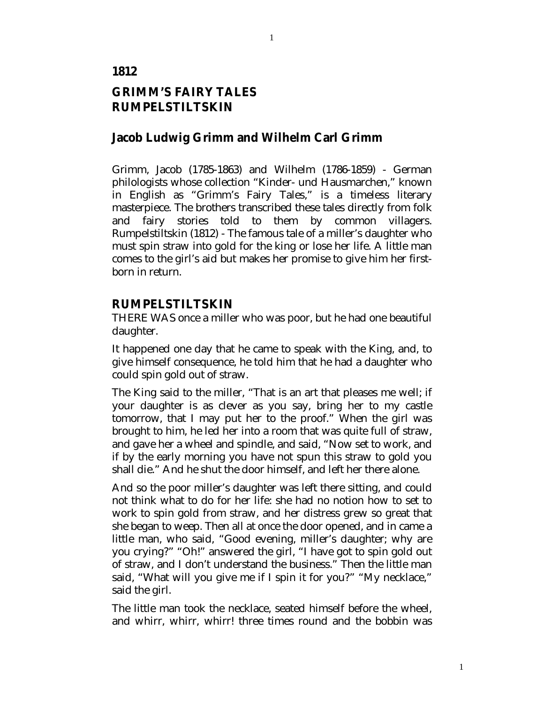### **1812**

# **GRIMM'S FAIRY TALES RUMPELSTILTSKIN**

## **Jacob Ludwig Grimm and Wilhelm Carl Grimm**

Grimm, Jacob (1785-1863) and Wilhelm (1786-1859) - German philologists whose collection "Kinder- und Hausmarchen," known in English as "Grimm's Fairy Tales," is a timeless literary masterpiece. The brothers transcribed these tales directly from folk and fairy stories told to them by common villagers. Rumpelstiltskin (1812) - The famous tale of a miller's daughter who must spin straw into gold for the king or lose her life. A little man comes to the girl's aid but makes her promise to give him her firstborn in return.

## **RUMPELSTILTSKIN**

THERE WAS once a miller who was poor, but he had one beautiful daughter.

It happened one day that he came to speak with the King, and, to give himself consequence, he told him that he had a daughter who could spin gold out of straw.

The King said to the miller, "That is an art that pleases me well; if your daughter is as clever as you say, bring her to my castle tomorrow, that I may put her to the proof." When the girl was brought to him, he led her into a room that was quite full of straw, and gave her a wheel and spindle, and said, "Now set to work, and if by the early morning you have not spun this straw to gold you shall die." And he shut the door himself, and left her there alone.

And so the poor miller's daughter was left there sitting, and could not think what to do for her life: she had no notion how to set to work to spin gold from straw, and her distress grew so great that she began to weep. Then all at once the door opened, and in came a little man, who said, "Good evening, miller's daughter; why are you crying?" "Oh!" answered the girl, "I have got to spin gold out of straw, and I don't understand the business." Then the little man said, "What will you give me if I spin it for you?" "My necklace," said the girl.

The little man took the necklace, seated himself before the wheel, and whirr, whirr, whirr! three times round and the bobbin was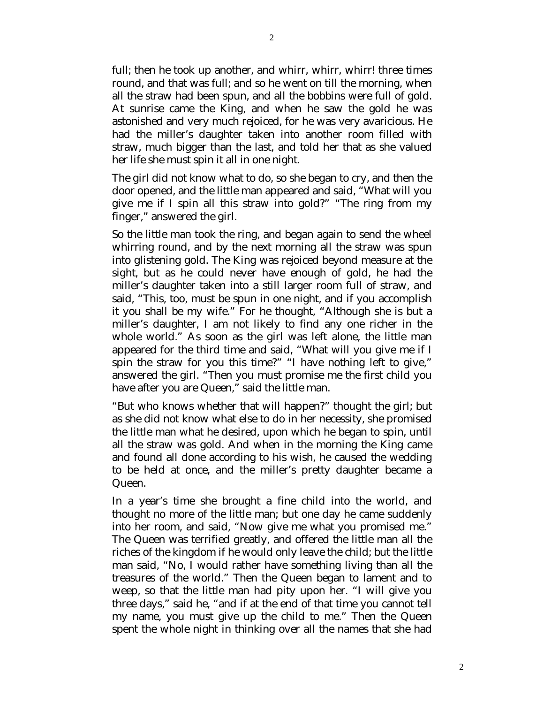full; then he took up another, and whirr, whirr, whirr! three times round, and that was full; and so he went on till the morning, when all the straw had been spun, and all the bobbins were full of gold. At sunrise came the King, and when he saw the gold he was astonished and very much rejoiced, for he was very avaricious. He had the miller's daughter taken into another room filled with straw, much bigger than the last, and told her that as she valued her life she must spin it all in one night.

The girl did not know what to do, so she began to cry, and then the door opened, and the little man appeared and said, "What will you give me if I spin all this straw into gold?" "The ring from my finger," answered the girl.

So the little man took the ring, and began again to send the wheel whirring round, and by the next morning all the straw was spun into glistening gold. The King was rejoiced beyond measure at the sight, but as he could never have enough of gold, he had the miller's daughter taken into a still larger room full of straw, and said, "This, too, must be spun in one night, and if you accomplish it you shall be my wife." For he thought, "Although she is but a miller's daughter, I am not likely to find any one richer in the whole world." As soon as the girl was left alone, the little man appeared for the third time and said, "What will you give me if I spin the straw for you this time?" "I have nothing left to give," answered the girl. "Then you must promise me the first child you have after you are Queen," said the little man.

"But who knows whether that will happen?" thought the girl; but as she did not know what else to do in her necessity, she promised the little man what he desired, upon which he began to spin, until all the straw was gold. And when in the morning the King came and found all done according to his wish, he caused the wedding to be held at once, and the miller's pretty daughter became a Queen.

In a year's time she brought a fine child into the world, and thought no more of the little man; but one day he came suddenly into her room, and said, "Now give me what you promised me." The Queen was terrified greatly, and offered the little man all the riches of the kingdom if he would only leave the child; but the little man said, "No, I would rather have something living than all the treasures of the world." Then the Queen began to lament and to weep, so that the little man had pity upon her. "I will give you three days," said he, "and if at the end of that time you cannot tell my name, you must give up the child to me." Then the Queen spent the whole night in thinking over all the names that she had